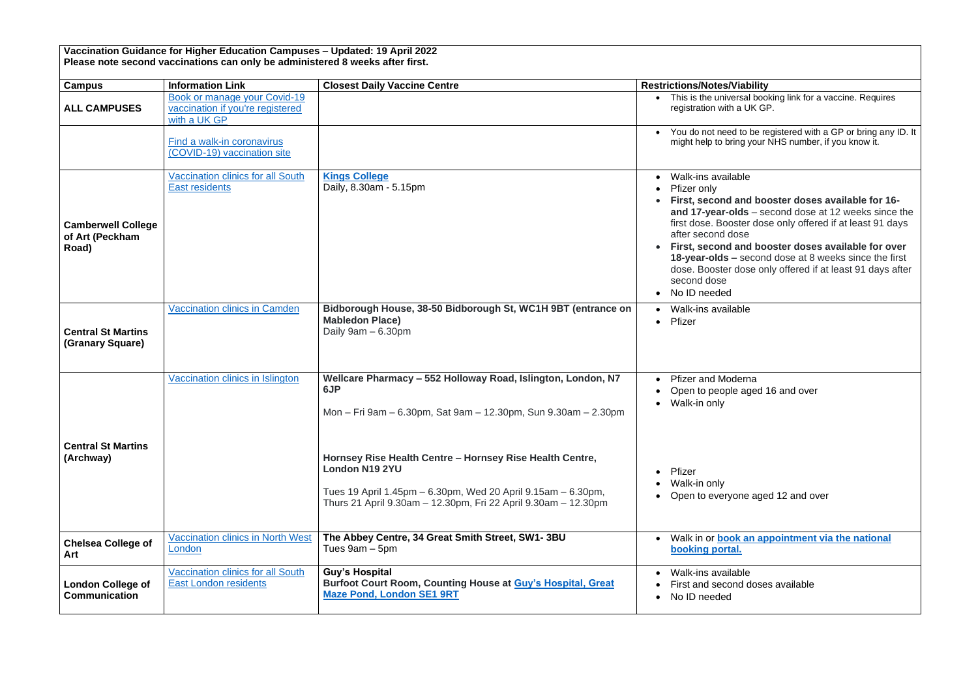| Vaccination Guidance for Higher Education Campuses - Updated: 19 April 2022   |  |
|-------------------------------------------------------------------------------|--|
| Please note second vaccinations can only be administered 8 weeks after first. |  |

• **First, second and booster doses available for 16-** Ids – second dose at 12 weeks since the ster dose only offered if at least 91 days dse

and booster doses available for over **18-year-olds –** second dose at 8 weeks since the first dose only offered if at least 91 days after

derna aged 16 and over

one aged 12 and over

**k** an appointment via the national

 $_{\rm able}$ nd doses available

• You do not need to be registered with a GP or bring any ID. It might help to bring your NHS number, if you know it.

## $\overline{\text{able}}$

| <b>Campus</b>                                         | <b>Information Link</b>                                                          | <b>Closest Daily Vaccine Centre</b>                                                                                                                                                                                 | <b>Restrictions/Notes/Viability</b>                                                                                                                                                                                                                        |
|-------------------------------------------------------|----------------------------------------------------------------------------------|---------------------------------------------------------------------------------------------------------------------------------------------------------------------------------------------------------------------|------------------------------------------------------------------------------------------------------------------------------------------------------------------------------------------------------------------------------------------------------------|
| <b>ALL CAMPUSES</b>                                   | Book or manage your Covid-19<br>vaccination if you're registered<br>with a UK GP |                                                                                                                                                                                                                     | This is the universal boo<br>registration with a UK GI                                                                                                                                                                                                     |
|                                                       | Find a walk-in coronavirus<br>(COVID-19) vaccination site                        |                                                                                                                                                                                                                     | You do not need to be re<br>might help to bring your                                                                                                                                                                                                       |
| <b>Camberwell College</b><br>of Art (Peckham<br>Road) | <b>Vaccination clinics for all South</b><br><b>East residents</b>                | <b>Kings College</b><br>Daily, 8.30am - 5.15pm                                                                                                                                                                      | Walk-ins available<br>$\bullet$<br>Pfizer only<br>First, second and bo<br>and 17-year-olds $-$ se<br>first dose. Booster dos<br>after second dose<br>First, second and bo<br>18-year-olds - secone<br>dose. Booster dose or<br>second dose<br>No ID needed |
| <b>Central St Martins</b><br>(Granary Square)         | <b>Vaccination clinics in Camden</b>                                             | Bidborough House, 38-50 Bidborough St, WC1H 9BT (entrance on<br><b>Mabledon Place)</b><br>Daily $9am - 6.30pm$                                                                                                      | Walk-ins available<br>Pfizer<br>$\bullet$                                                                                                                                                                                                                  |
|                                                       | Vaccination clinics in Islington                                                 | Wellcare Pharmacy - 552 Holloway Road, Islington, London, N7<br>6JP<br>Mon - Fri 9am - 6.30pm, Sat 9am - 12.30pm, Sun 9.30am - 2.30pm                                                                               | <b>Pfizer and Moderna</b><br>Open to people aged<br>Walk-in only                                                                                                                                                                                           |
| <b>Central St Martins</b><br>(Archway)                |                                                                                  | Hornsey Rise Health Centre - Hornsey Rise Health Centre,<br><b>London N19 2YU</b><br>Tues 19 April 1.45pm – 6.30pm, Wed 20 April 9.15am – 6.30pm,<br>Thurs 21 April 9.30am - 12.30pm, Fri 22 April 9.30am - 12.30pm | Pfizer<br>Walk-in only<br>Open to everyone age                                                                                                                                                                                                             |
| <b>Chelsea College of</b><br>Art                      | <b>Vaccination clinics in North West</b><br>London                               | The Abbey Centre, 34 Great Smith Street, SW1-3BU<br>Tues $9am - 5pm$                                                                                                                                                | Walk in or <b>book an ap</b><br>booking portal.                                                                                                                                                                                                            |
| <b>London College of</b><br><b>Communication</b>      | <b>Vaccination clinics for all South</b><br><b>East London residents</b>         | <b>Guy's Hospital</b><br>Burfoot Court Room, Counting House at Guy's Hospital, Great<br><b>Maze Pond, London SE1 9RT</b>                                                                                            | Walk-ins available<br>First and second dose<br>No ID needed<br>$\bullet$                                                                                                                                                                                   |

ersal booking link for a vaccine. Requires a UK GP.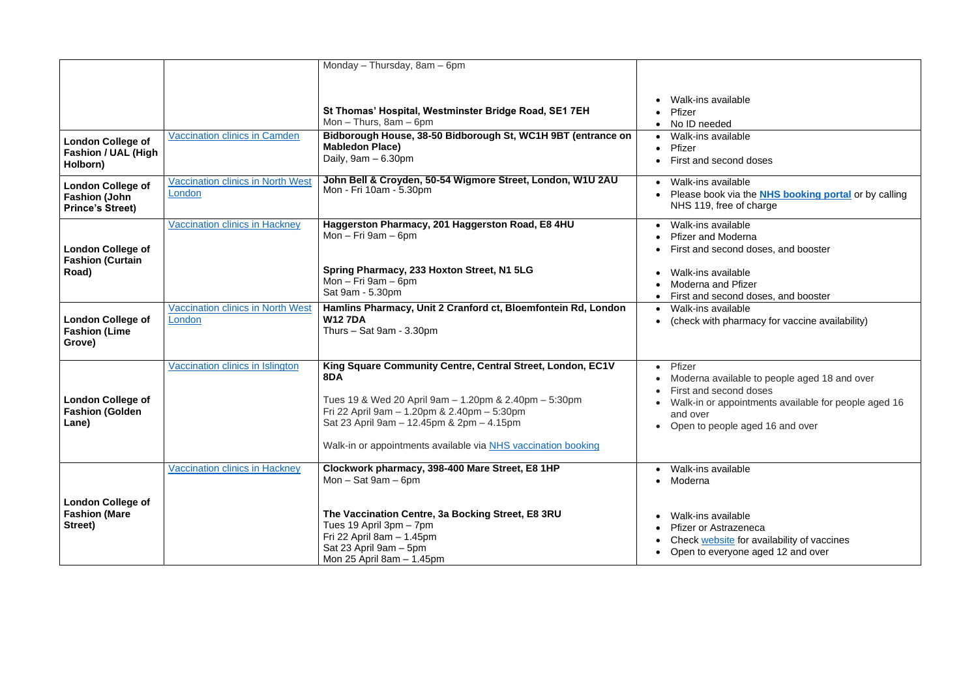$_{\rm able}$ • Please book via the **[NHS booking portal](https://www.nhs.uk/conditions/coronavirus-covid-19/coronavirus-vaccination/book-coronavirus-vaccination/)** or by calling

> $\overline{\phantom{a}}$ able $\overline{\phantom{a}}$ derna nd doses, and booster

> able <sup>-</sup>Pfizer nd doses, and booster  $_{\rm able}$

armacy for vaccine availability)

able to people aged 18 and over nd doses ointments available for people aged 16

aged 16 and over

able zeneca  $\frac{1}{2}$  for availability of vaccines For eventually concrete

|                                                                             |                                                    | Monday - Thursday, 8am - 6pm                                                                                                                                                                                                                                                            |                                                                                                                                                                                                   |
|-----------------------------------------------------------------------------|----------------------------------------------------|-----------------------------------------------------------------------------------------------------------------------------------------------------------------------------------------------------------------------------------------------------------------------------------------|---------------------------------------------------------------------------------------------------------------------------------------------------------------------------------------------------|
| <b>London College of</b><br><b>Fashion / UAL (High</b><br>Holborn)          | <b>Vaccination clinics in Camden</b>               | St Thomas' Hospital, Westminster Bridge Road, SE1 7EH<br>Mon $-$ Thurs, 8am $-$ 6pm<br>Bidborough House, 38-50 Bidborough St, WC1H 9BT (entrance on<br><b>Mabledon Place)</b><br>Daily, $9am - 6.30pm$                                                                                  | Walk-ins available<br>$\bullet$<br>Pfizer<br>$\bullet$<br>No ID needed<br>$\bullet$<br>Walk-ins available<br>$\bullet$<br>Pfizer<br>$\bullet$<br>First and second doses<br>$\bullet$              |
| <b>London College of</b><br><b>Fashion (John</b><br><b>Prince's Street)</b> | <b>Vaccination clinics in North West</b><br>London | John Bell & Croyden, 50-54 Wigmore Street, London, W1U 2AU<br>Mon - Fri 10am - 5.30pm                                                                                                                                                                                                   | Walk-ins available<br>$\bullet$<br>Please book via the NHS<br>$\bullet$<br>NHS 119, free of charge                                                                                                |
| <b>London College of</b><br><b>Fashion (Curtain</b>                         | <b>Vaccination clinics in Hackney</b>              | Haggerston Pharmacy, 201 Haggerston Road, E8 4HU<br>Mon $-$ Fri 9am $-$ 6pm                                                                                                                                                                                                             | Walk-ins available<br>$\bullet$<br><b>Pfizer and Moderna</b><br>$\bullet$<br>First and second doses,<br>$\bullet$                                                                                 |
| Road)                                                                       |                                                    | Spring Pharmacy, 233 Hoxton Street, N1 5LG<br>Mon $-$ Fri 9am $-$ 6pm<br>Sat 9am - 5.30pm                                                                                                                                                                                               | Walk-ins available<br>$\bullet$<br><b>Moderna and Pfizer</b><br>First and second doses,                                                                                                           |
| <b>London College of</b><br><b>Fashion (Lime</b><br>Grove)                  | <b>Vaccination clinics in North West</b><br>London | Hamlins Pharmacy, Unit 2 Cranford ct, Bloemfontein Rd, London<br><b>W127DA</b><br>Thurs $-$ Sat 9am - 3.30pm                                                                                                                                                                            | Walk-ins available<br>$\bullet$<br>(check with pharmacy fo<br>$\bullet$                                                                                                                           |
| <b>London College of</b><br><b>Fashion (Golden</b><br>Lane)                 | Vaccination clinics in Islington                   | King Square Community Centre, Central Street, London, EC1V<br>8DA<br>Tues 19 & Wed 20 April 9am - 1.20pm & 2.40pm - 5:30pm<br>Fri 22 April 9am - 1.20pm & 2.40pm - 5:30pm<br>Sat 23 April 9am - 12.45pm & 2pm - 4.15pm<br>Walk-in or appointments available via NHS vaccination booking | Pfizer<br>$\bullet$<br>Moderna available to pe<br>First and second doses<br>Walk-in or appointments<br>and over<br>• Open to people aged 16                                                       |
| <b>London College of</b><br><b>Fashion (Mare</b><br>Street)                 | <b>Vaccination clinics in Hackney</b>              | Clockwork pharmacy, 398-400 Mare Street, E8 1HP<br>$Mon - Sat 9am - 6pm$<br>The Vaccination Centre, 3a Bocking Street, E8 3RU<br>Tues 19 April 3pm - 7pm<br>Fri 22 April 8am - 1.45pm<br>Sat 23 April 9am - 5pm<br>Mon 25 April 8am - 1.45pm                                            | Walk-ins available<br>$\bullet$<br>Moderna<br>$\bullet$<br>Walk-ins available<br>$\bullet$<br><b>Pfizer or Astrazeneca</b><br>٠<br>Check website for availa<br>$\bullet$<br>Open to everyone aged |

| ۰.<br>I<br>v<br>٠ | ۰,<br>×<br>۰.<br>w |
|-------------------|--------------------|
|                   |                    |

| ۰.<br>I | × | ۰,<br>w<br>۰. |
|---------|---|---------------|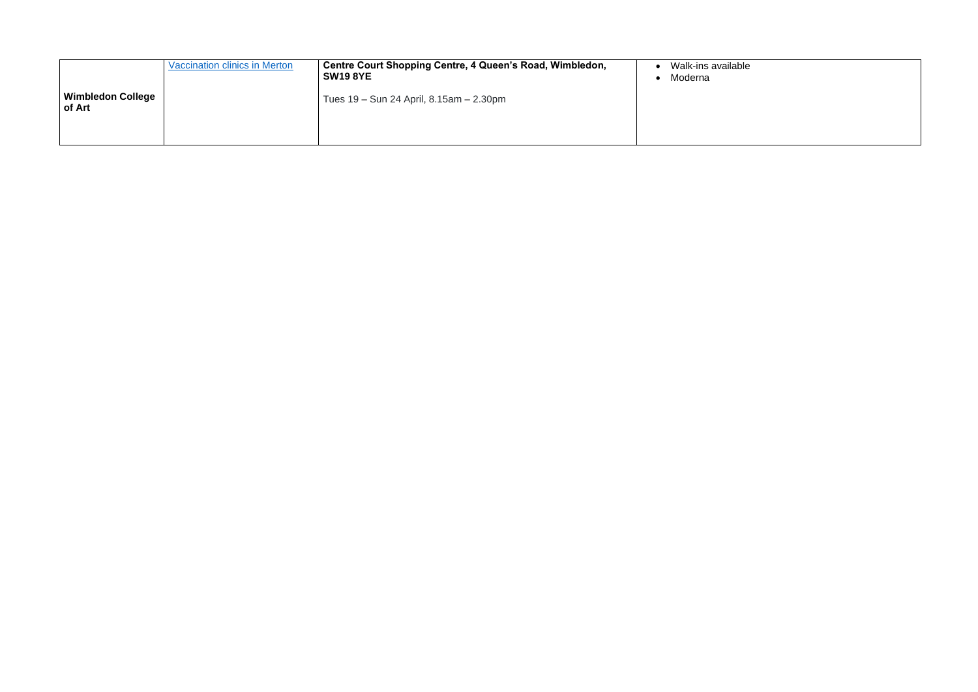|                                    | <b>Vaccination clinics in Merton</b> | Centre Court Shopping Centre, 4 Queen's Road, Wimbledon,<br><b>SW19 8YE</b> | Walk-ins availab<br>Moderna |
|------------------------------------|--------------------------------------|-----------------------------------------------------------------------------|-----------------------------|
| <b>Wimbledon College</b><br>of Art |                                      | Tues 19 – Sun 24 April, 8.15am – 2.30pm                                     |                             |
|                                    |                                      |                                                                             |                             |

## $\overline{\text{ble}}$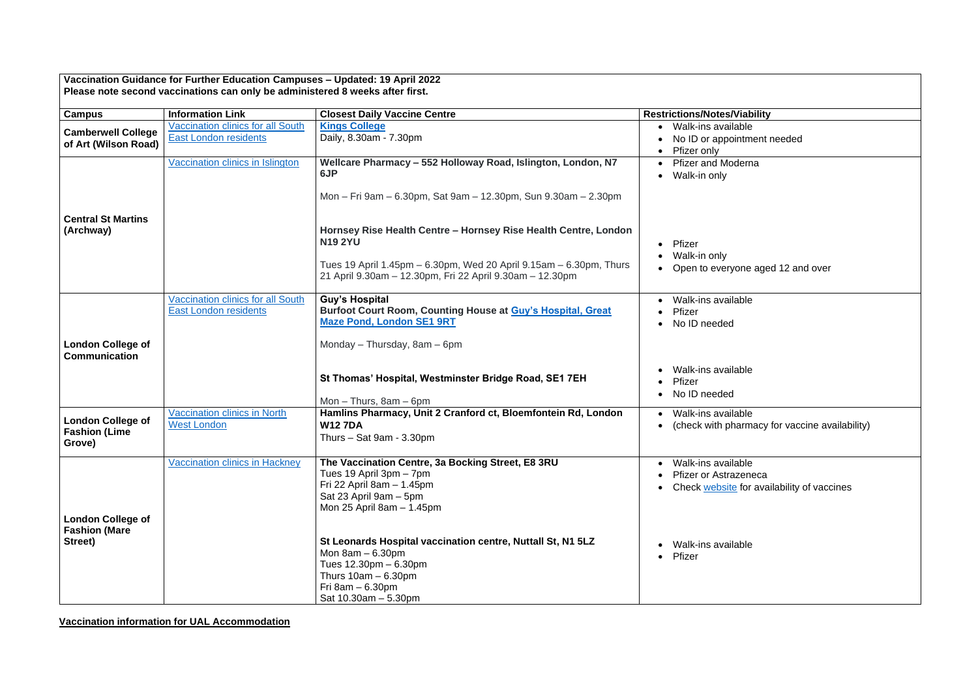**Vaccination information for UAL Accommodation** 

## $\overline{\mathsf{able}}$

intment needed

one aged 12 and over

 $\overline{\mathsf{able}}$ armacy for vaccine availability)

 $\overline{\mathsf{able}}$ izeneca **<u>E</u>** for availability of vaccines

**Vaccination Guidance for Further Education Campuses – Updated: 19 April 2022 Please note second vaccinations can only be administered 8 weeks after first.**

| <b>Campus</b>                                              | <b>Information Link</b>                                                  | <b>Closest Daily Vaccine Centre</b>                                                                                                                                                                                        | <b>Restrictions/Notes/Viability</b>                                                            |
|------------------------------------------------------------|--------------------------------------------------------------------------|----------------------------------------------------------------------------------------------------------------------------------------------------------------------------------------------------------------------------|------------------------------------------------------------------------------------------------|
| <b>Camberwell College</b><br>of Art (Wilson Road)          | <b>Vaccination clinics for all South</b><br><b>East London residents</b> | <b>Kings College</b><br>Daily, 8.30am - 7.30pm                                                                                                                                                                             | Walk-ins available<br>No ID or appointment<br>Pfizer only                                      |
| <b>Central St Martins</b><br>(Archway)                     | Vaccination clinics in Islington                                         | Wellcare Pharmacy - 552 Holloway Road, Islington, London, N7<br>6JP<br>Mon - Fri 9am - 6.30pm, Sat 9am - 12.30pm, Sun 9.30am - 2.30pm<br>Hornsey Rise Health Centre - Hornsey Rise Health Centre, London<br><b>N19 2YU</b> | <b>Pfizer and Moderna</b><br>Walk-in only<br>Pfizer<br>$\bullet$<br>Walk-in only               |
|                                                            |                                                                          | Tues 19 April 1.45pm – 6.30pm, Wed 20 April 9.15am – 6.30pm, Thurs<br>21 April 9.30am - 12.30pm, Fri 22 April 9.30am - 12.30pm                                                                                             | Open to everyone age                                                                           |
| <b>London College of</b><br><b>Communication</b>           | <b>Vaccination clinics for all South</b><br><b>East London residents</b> | <b>Guy's Hospital</b><br><b>Burfoot Court Room, Counting House at Guy's Hospital, Great</b><br><b>Maze Pond, London SE1 9RT</b><br>Monday - Thursday, 8am - 6pm                                                            | Walk-ins available<br>Pfizer<br>No ID needed                                                   |
|                                                            |                                                                          | St Thomas' Hospital, Westminster Bridge Road, SE1 7EH<br>Mon $-$ Thurs, $8am - 6pm$                                                                                                                                        | Walk-ins available<br>Pfizer<br>No ID needed                                                   |
| <b>London College of</b><br><b>Fashion (Lime</b><br>Grove) | <b>Vaccination clinics in North</b><br><b>West London</b>                | Hamlins Pharmacy, Unit 2 Cranford ct, Bloemfontein Rd, London<br><b>W127DA</b><br>Thurs $-$ Sat 9am - 3.30pm                                                                                                               | Walk-ins available<br>$\bullet$<br>(check with pharmacy                                        |
| <b>London College of</b>                                   | <b>Vaccination clinics in Hackney</b>                                    | The Vaccination Centre, 3a Bocking Street, E8 3RU<br>Tues 19 April 3pm - 7pm<br>Fri 22 April 8am $-$ 1.45pm<br>Sat 23 April 9am - 5pm<br>Mon 25 April 8am $-$ 1.45pm                                                       | Walk-ins available<br>$\bullet$<br>Pfizer or Astrazeneca<br>Check website for ava<br>$\bullet$ |
| <b>Fashion (Mare</b><br>Street)                            |                                                                          | St Leonards Hospital vaccination centre, Nuttall St, N1 5LZ<br>Mon $8am - 6.30pm$<br>Tues 12.30pm - 6.30pm<br>Thurs $10am - 6.30pm$<br>Fri 8am $-6.30$ pm<br>Sat 10.30am - 5.30pm                                          | Walk-ins available<br>Pfizer<br>$\bullet$                                                      |